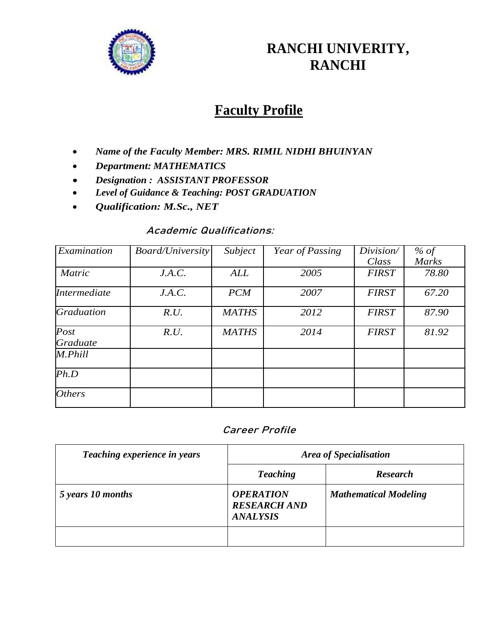

## **RANCHI UNIVERITY, RANCHI**

# **Faculty Profile**

- *Name of the Faculty Member: MRS. RIMIL NIDHI BHUINYAN*
- *Department: MATHEMATICS*
- *Designation : ASSISTANT PROFESSOR*
- *Level of Guidance & Teaching: POST GRADUATION*
- *Qualification: M.Sc., NET*

#### **Academic Qualifications:**

| Examination         | <b>Board/University</b> | Subject      | Year of Passing | Division/    | % of         |
|---------------------|-------------------------|--------------|-----------------|--------------|--------------|
|                     |                         |              |                 | Class        | <b>Marks</b> |
| <b>Matric</b>       | J.A.C.                  | <b>ALL</b>   | 2005            | <b>FIRST</b> | 78.80        |
| <i>Intermediate</i> | J.A.C.                  | <b>PCM</b>   | 2007            | <b>FIRST</b> | 67.20        |
| <b>Graduation</b>   | R.U.                    | <b>MATHS</b> | 2012            | <b>FIRST</b> | 87.90        |
| Post                | R.U.                    | <b>MATHS</b> | 2014            | <b>FIRST</b> | 81.92        |
| Graduate            |                         |              |                 |              |              |
| M.Phill             |                         |              |                 |              |              |
| Ph.D                |                         |              |                 |              |              |
| <b>Others</b>       |                         |              |                 |              |              |

### **Career Profile**

| Teaching experience in years | Area of Specialisation                                     |                              |  |
|------------------------------|------------------------------------------------------------|------------------------------|--|
|                              | <b>Teaching</b>                                            | <b>Research</b>              |  |
| 5 years 10 months            | <b>OPERATION</b><br><b>RESEARCH AND</b><br><b>ANALYSIS</b> | <b>Mathematical Modeling</b> |  |
|                              |                                                            |                              |  |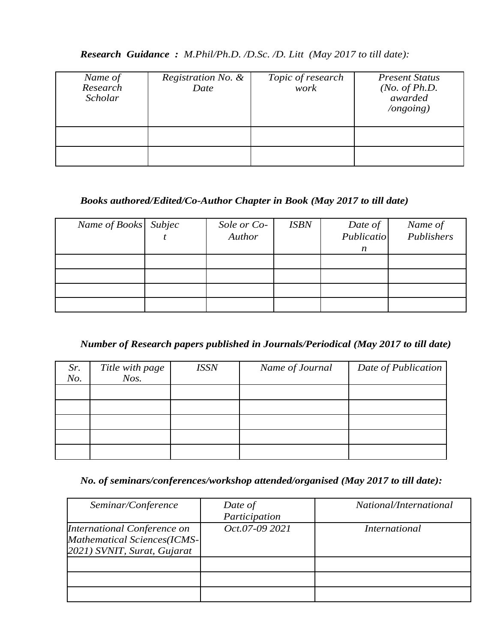#### *Research Guidance : M.Phil/Ph.D. /D.Sc. /D. Litt (May 2017 to till date):*

| Name of<br>Research<br>Scholar | Registration No. &<br>Date | Topic of research<br>work | <b>Present Status</b><br>( <i>No. of Ph.D.</i><br>awarded<br>$\log$ ongoing) |
|--------------------------------|----------------------------|---------------------------|------------------------------------------------------------------------------|
|                                |                            |                           |                                                                              |
|                                |                            |                           |                                                                              |

#### *Books authored/Edited/Co-Author Chapter in Book (May 2017 to till date)*

| Name of Books Subjec | Sole or Co- | <b>ISBN</b> | Date of    | Name of    |
|----------------------|-------------|-------------|------------|------------|
|                      | Author      |             | Publicatio | Publishers |
|                      |             |             | n          |            |
|                      |             |             |            |            |
|                      |             |             |            |            |
|                      |             |             |            |            |
|                      |             |             |            |            |

#### *Number of Research papers published in Journals/Periodical (May 2017 to till date)*

| Sr.<br>No. | Title with page<br>$N$ os. | <b>ISSN</b> | Name of Journal | Date of Publication |
|------------|----------------------------|-------------|-----------------|---------------------|
|            |                            |             |                 |                     |
|            |                            |             |                 |                     |
|            |                            |             |                 |                     |
|            |                            |             |                 |                     |
|            |                            |             |                 |                     |

#### *No. of seminars/conferences/workshop attended/organised (May 2017 to till date):*

| Seminar/Conference                                                                        | Date of<br>Participation | <i>National/International</i> |
|-------------------------------------------------------------------------------------------|--------------------------|-------------------------------|
| International Conference on<br>Mathematical Sciences(ICMS-<br>2021) SVNIT, Surat, Gujarat | Oct.07-09 2021           | International                 |
|                                                                                           |                          |                               |
|                                                                                           |                          |                               |